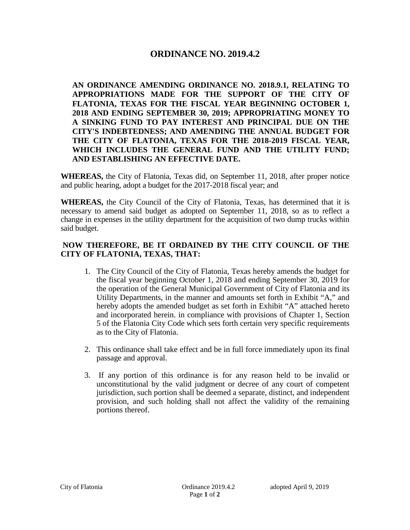## **ORDINANCE NO. 2019.4.2**

**AN ORDINANCE AMENDING ORDINANCE NO. 2018.9.1, RELATING TO APPROPRIATIONS MADE FOR THE SUPPORT OF THE CITY OF FLATONIA, TEXAS FOR THE FISCAL YEAR BEGINNING OCTOBER 1, 2018 AND ENDING SEPTEMBER 30, 2019; APPROPRIATING MONEY TO A SINKING FUND TO PAY INTEREST AND PRINCIPAL DUE ON THE CITY'S INDEBTEDNESS; AND AMENDING THE ANNUAL BUDGET FOR THE CITY OF FLATONIA, TEXAS FOR THE 2018-2019 FISCAL YEAR, WHICH INCLUDES THE GENERAL FUND AND THE UTILITY FUND; AND ESTABLISHING AN EFFECTIVE DATE.**

**WHEREAS,** the City of Flatonia, Texas did, on September 11, 2018, after proper notice and public hearing, adopt a budget for the 2017-2018 fiscal year; and

**WHEREAS,** the City Council of the City of Flatonia, Texas, has determined that it is necessary to amend said budget as adopted on September 11, 2018, so as to reflect a change in expenses in the utility department for the acquisition of two dump trucks within said budget.

## **NOW THEREFORE, BE IT ORDAINED BY THE CITY COUNCIL OF THE CITY OF FLATONIA, TEXAS, THAT:**

- 1. The City Council of the City of Flatonia, Texas hereby amends the budget for the fiscal year beginning October 1, 2018 and ending September 30, 2019 for the operation of the General Municipal Government of City of Flatonia and its Utility Departments, in the manner and amounts set forth in Exhibit "A," and hereby adopts the amended budget as set forth in Exhibit "A" attached hereto and incorporated herein. in compliance with provisions of Chapter 1, Section 5 of the Flatonia City Code which sets forth certain very specific requirements as to the City of Flatonia.
- 2. This ordinance shall take effect and be in full force immediately upon its final passage and approval.
- 3. If any portion of this ordinance is for any reason held to be invalid or unconstitutional by the valid judgment or decree of any court of competent jurisdiction, such portion shall be deemed a separate, distinct, and independent provision, and such holding shall not affect the validity of the remaining portions thereof.